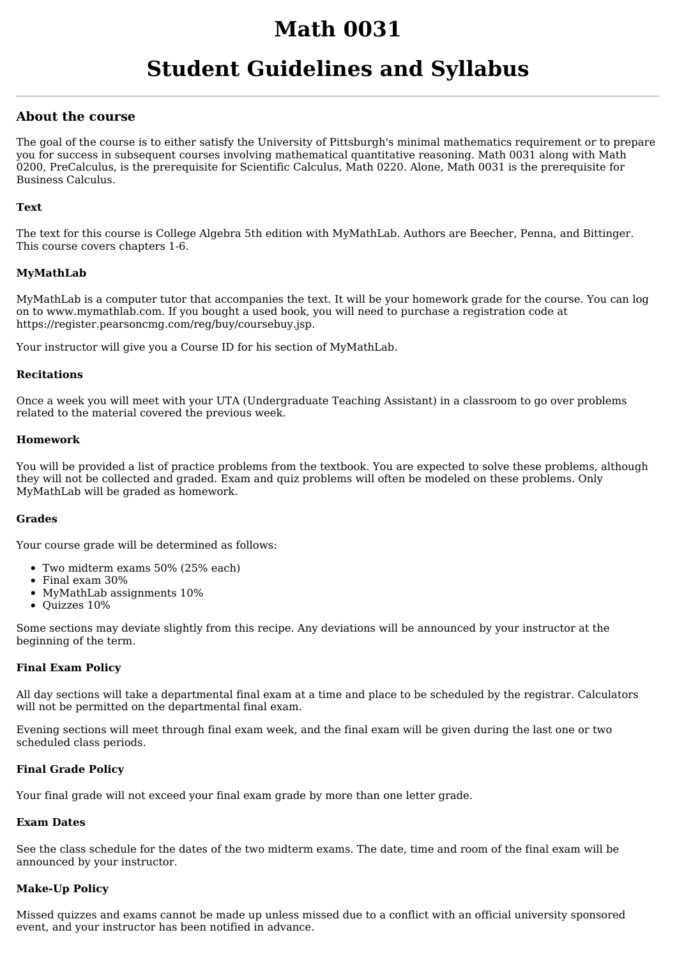# **Math 0031**

# **Student Guidelines and Syllabus**

# **About the course**

The goal of the course is to either satisfy the University of Pittsburgh's minimal mathematics requirement or to prepare you for success in subsequent courses involving mathematical quantitative reasoning. Math 0031 along with Math 0200, PreCalculus, is the prerequisite for Scientific Calculus, Math 0220. Alone, Math 0031 is the prerequisite for Business Calculus.

## **Text**

The text for this course is College Algebra 5th edition with MyMathLab. Authors are Beecher, Penna, and Bittinger. This course covers chapters 1-6.

# **MyMathLab**

MyMathLab is a computer tutor that accompanies the text. It will be your homework grade for the course. You can log on to www.mymathlab.com. If you bought a used book, you will need to purchase a registration code at https://register.pearsoncmg.com/reg/buy/coursebuy.jsp.

Your instructor will give you a Course ID for his section of MyMathLab.

#### **Recitations**

Once a week you will meet with your UTA (Undergraduate Teaching Assistant) in a classroom to go over problems related to the material covered the previous week.

## **Homework**

You will be provided a list of practice problems from the textbook. You are expected to solve these problems, although they will not be collected and graded. Exam and quiz problems will often be modeled on these problems. Only MyMathLab will be graded as homework.

#### **Grades**

Your course grade will be determined as follows:

- Two midterm exams 50% (25% each)
- Final exam 30%
- MyMathLab assignments 10%
- Quizzes 10%

Some sections may deviate slightly from this recipe. Any deviations will be announced by your instructor at the beginning of the term.

#### **Final Exam Policy**

All day sections will take a departmental final exam at a time and place to be scheduled by the registrar. Calculators will not be permitted on the departmental final exam.

Evening sections will meet through final exam week, and the final exam will be given during the last one or two scheduled class periods.

#### **Final Grade Policy**

Your final grade will not exceed your final exam grade by more than one letter grade.

# **Exam Dates**

See the class schedule for the dates of the two midterm exams. The date, time and room of the final exam will be announced by your instructor.

#### **Make-Up Policy**

Missed quizzes and exams cannot be made up unless missed due to a conflict with an official university sponsored event, and your instructor has been notified in advance.